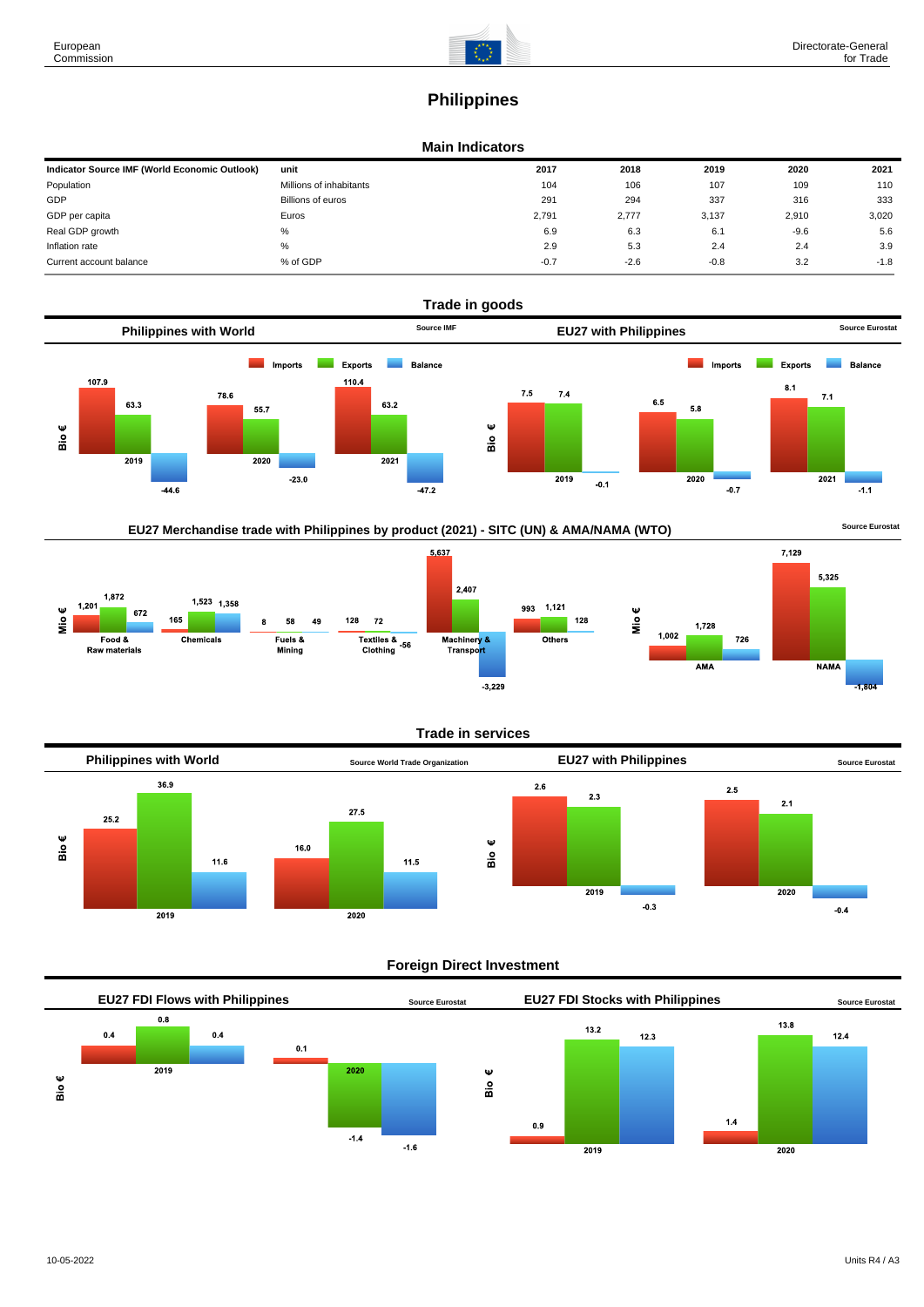# **Philippines**

#### **Main Indicators**

| Indicator Source IMF (World Economic Outlook) | unit                    | 2017   | 2018   | 2019   | 2020   | 2021   |
|-----------------------------------------------|-------------------------|--------|--------|--------|--------|--------|
| Population                                    | Millions of inhabitants | 104    | 106    | 107    | 109    | 110    |
| GDP                                           | Billions of euros       | 291    | 294    | 337    | 316    | 333    |
| GDP per capita                                | Euros                   | 2.791  | 2.777  | 3,137  | 2.910  | 3,020  |
| Real GDP growth                               | %                       | 6.9    | 6.3    | 6.1    | $-9.6$ | 5.6    |
| Inflation rate                                | %                       | 2.9    | 5.3    | 2.4    | 2.4    | 3.9    |
| Current account balance                       | % of GDP                | $-0.7$ | $-2.6$ | $-0.8$ | 3.2    | $-1.8$ |



# EU27 Merchandise trade with Philippines by product (2021) - SITC (UN) & AMA/NAMA (WTO) **Source Eurostat**



### **Trade in services**



#### **Foreign Direct Investment**